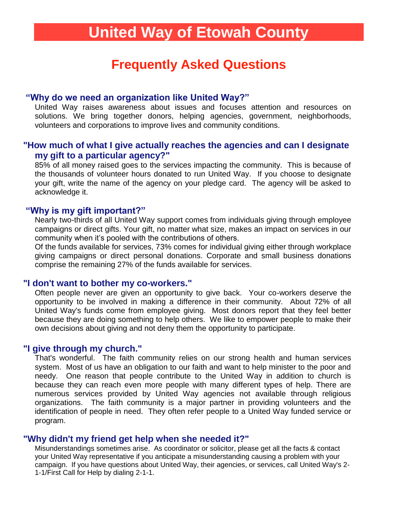# **United Way of Etowah County**

# **Frequently Asked Questions**

# **"Why do we need an organization like United Way?"**

United Way raises awareness about issues and focuses attention and resources on solutions. We bring together donors, helping agencies, government, neighborhoods, volunteers and corporations to improve lives and community conditions.

### **"How much of what I give actually reaches the agencies and can I designate my gift to a particular agency?"**

85% of all money raised goes to the services impacting the community. This is because of the thousands of volunteer hours donated to run United Way. If you choose to designate your gift, write the name of the agency on your pledge card. The agency will be asked to acknowledge it.

#### **"Why is my gift important?"**

Nearly two-thirds of all United Way support comes from individuals giving through employee campaigns or direct gifts. Your gift, no matter what size, makes an impact on services in our community when it's pooled with the contributions of others.

Of the funds available for services, 73% comes for individual giving either through workplace giving campaigns or direct personal donations. Corporate and small business donations comprise the remaining 27% of the funds available for services.

#### **"I don't want to bother my co-workers."**

Often people never are given an opportunity to give back. Your co-workers deserve the opportunity to be involved in making a difference in their community. About 72% of all United Way's funds come from employee giving. Most donors report that they feel better because they are doing something to help others. We like to empower people to make their own decisions about giving and not deny them the opportunity to participate.

#### **"I give through my church."**

That's wonderful. The faith community relies on our strong health and human services system. Most of us have an obligation to our faith and want to help minister to the poor and needy. One reason that people contribute to the United Way in addition to church is because they can reach even more people with many different types of help. There are numerous services provided by United Way agencies not available through religious organizations. The faith community is a major partner in providing volunteers and the identification of people in need. They often refer people to a United Way funded service or program.

#### **"Why didn't my friend get help when she needed it?"**

Misunderstandings sometimes arise. As coordinator or solicitor, please get all the facts & contact your United Way representative if you anticipate a misunderstanding causing a problem with your campaign. If you have questions about United Way, their agencies, or services, call United Way's 2- 1-1/First Call for Help by dialing 2-1-1.